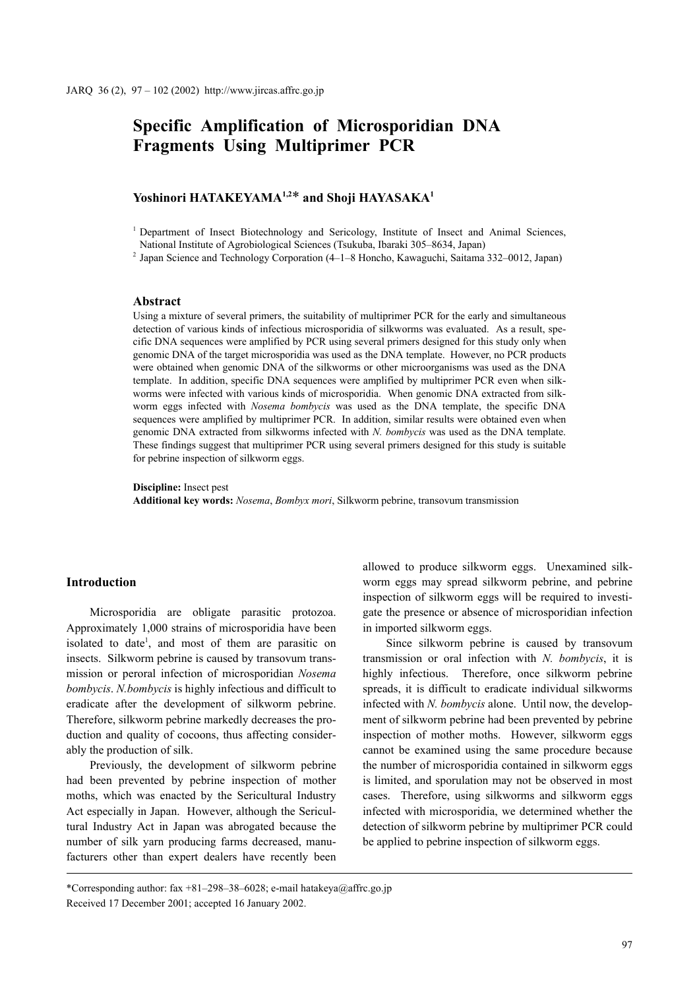# **Specific Amplification of Microsporidian DNA Fragments Using Multiprimer PCR**

# Yoshinori HATAKEYAMA<sup>1,2\*</sup> and Shoji HAYASAKA<sup>1</sup>

<sup>1</sup> Department of Insect Biotechnology and Sericology, Institute of Insect and Animal Sciences, National Institute of Agrobiological Sciences (Tsukuba, Ibaraki 305–8634, Japan)

<sup>2</sup> Japan Science and Technology Corporation (4–1–8 Honcho, Kawaguchi, Saitama 332–0012, Japan)

### **Abstract**

Using a mixture of several primers, the suitability of multiprimer PCR for the early and simultaneous detection of various kinds of infectious microsporidia of silkworms was evaluated. As a result, specific DNA sequences were amplified by PCR using several primers designed for this study only when genomic DNA of the target microsporidia was used as the DNA template. However, no PCR products were obtained when genomic DNA of the silkworms or other microorganisms was used as the DNA template. In addition, specific DNA sequences were amplified by multiprimer PCR even when silkworms were infected with various kinds of microsporidia. When genomic DNA extracted from silkworm eggs infected with *Nosema bombycis* was used as the DNA template, the specific DNA sequences were amplified by multiprimer PCR. In addition, similar results were obtained even when genomic DNA extracted from silkworms infected with *N. bombycis* was used as the DNA template. These findings suggest that multiprimer PCR using several primers designed for this study is suitable for pebrine inspection of silkworm eggs.

**Discipline:** Insect pest **Additional key words:** *Nosema*, *Bombyx mori*, Silkworm pebrine, transovum transmission

# **Introduction**

Microsporidia are obligate parasitic protozoa. Approximately 1,000 strains of microsporidia have been isolated to date<sup>1</sup>, and most of them are parasitic on insects. Silkworm pebrine is caused by transovum transmission or peroral infection of microsporidian *Nosema bombycis*. *N.bombycis* is highly infectious and difficult to eradicate after the development of silkworm pebrine. Therefore, silkworm pebrine markedly decreases the production and quality of cocoons, thus affecting considerably the production of silk.

Previously, the development of silkworm pebrine had been prevented by pebrine inspection of mother moths, which was enacted by the Sericultural Industry Act especially in Japan. However, although the Sericultural Industry Act in Japan was abrogated because the number of silk yarn producing farms decreased, manufacturers other than expert dealers have recently been allowed to produce silkworm eggs. Unexamined silkworm eggs may spread silkworm pebrine, and pebrine inspection of silkworm eggs will be required to investigate the presence or absence of microsporidian infection in imported silkworm eggs.

Since silkworm pebrine is caused by transovum transmission or oral infection with *N. bombycis*, it is highly infectious. Therefore, once silkworm pebrine spreads, it is difficult to eradicate individual silkworms infected with *N. bombycis* alone. Until now, the development of silkworm pebrine had been prevented by pebrine inspection of mother moths. However, silkworm eggs cannot be examined using the same procedure because the number of microsporidia contained in silkworm eggs is limited, and sporulation may not be observed in most cases. Therefore, using silkworms and silkworm eggs infected with microsporidia, we determined whether the detection of silkworm pebrine by multiprimer PCR could be applied to pebrine inspection of silkworm eggs.

\*Corresponding author: fax +81–298–38–6028; e-mail hatakeya@affrc.go.jp Received 17 December 2001; accepted 16 January 2002.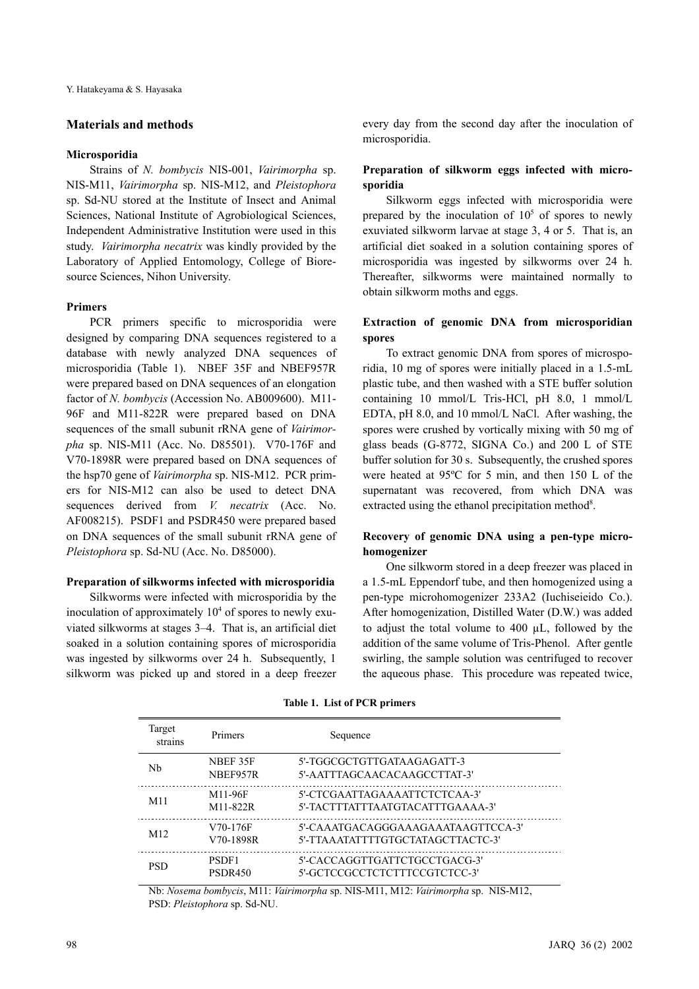### **Materials and methods**

#### **Microsporidia**

Strains of *N. bombycis* NIS-001, *Vairimorpha* sp. NIS-M11, *Vairimorpha* sp. NIS-M12, and *Pleistophora* sp. Sd-NU stored at the Institute of Insect and Animal Sciences, National Institute of Agrobiological Sciences, Independent Administrative Institution were used in this study. *Vairimorpha necatrix* was kindly provided by the Laboratory of Applied Entomology, College of Bioresource Sciences, Nihon University.

#### **Primers**

PCR primers specific to microsporidia were designed by comparing DNA sequences registered to a database with newly analyzed DNA sequences of microsporidia (Table 1). NBEF 35F and NBEF957R were prepared based on DNA sequences of an elongation factor of *N. bombycis* (Accession No. AB009600). M11- 96F and M11-822R were prepared based on DNA sequences of the small subunit rRNA gene of *Vairimorpha* sp. NIS-M11 (Acc. No. D85501). V70-176F and V70-1898R were prepared based on DNA sequences of the hsp70 gene of *Vairimorpha* sp. NIS-M12. PCR primers for NIS-M12 can also be used to detect DNA sequences derived from *V. necatrix* (Acc. No. AF008215). PSDF1 and PSDR450 were prepared based on DNA sequences of the small subunit rRNA gene of *Pleistophora* sp. Sd-NU (Acc. No. D85000).

## **Preparation of silkworms infected with microsporidia**

Silkworms were infected with microsporidia by the inoculation of approximately  $10<sup>4</sup>$  of spores to newly exuviated silkworms at stages 3–4. That is, an artificial diet soaked in a solution containing spores of microsporidia was ingested by silkworms over 24 h. Subsequently, 1 silkworm was picked up and stored in a deep freezer every day from the second day after the inoculation of microsporidia.

## **Preparation of silkworm eggs infected with microsporidia**

Silkworm eggs infected with microsporidia were prepared by the inoculation of  $10<sup>5</sup>$  of spores to newly exuviated silkworm larvae at stage 3, 4 or 5. That is, an artificial diet soaked in a solution containing spores of microsporidia was ingested by silkworms over 24 h. Thereafter, silkworms were maintained normally to obtain silkworm moths and eggs.

# **Extraction of genomic DNA from microsporidian spores**

To extract genomic DNA from spores of microsporidia, 10 mg of spores were initially placed in a 1.5-mL plastic tube, and then washed with a STE buffer solution containing 10 mmol/L Tris-HCl, pH 8.0, 1 mmol/L EDTA, pH 8.0, and 10 mmol/L NaCl. After washing, the spores were crushed by vortically mixing with 50 mg of glass beads (G-8772, SIGNA Co.) and 200 L of STE buffer solution for 30 s. Subsequently, the crushed spores were heated at 95ºC for 5 min, and then 150 L of the supernatant was recovered, from which DNA was extracted using the ethanol precipitation method<sup>8</sup>.

## **Recovery of genomic DNA using a pen-type microhomogenizer**

One silkworm stored in a deep freezer was placed in a 1.5-mL Eppendorf tube, and then homogenized using a pen-type microhomogenizer 233A2 (Iuchiseieido Co.). After homogenization, Distilled Water (D.W.) was added to adjust the total volume to 400 µL, followed by the addition of the same volume of Tris-Phenol. After gentle swirling, the sample solution was centrifuged to recover the aqueous phase. This procedure was repeated twice,

| Target<br>strains | Primers               | Sequence                                                                   |
|-------------------|-----------------------|----------------------------------------------------------------------------|
| Nb                | NBEF 35F<br>NBEF957R  | 5'-TGGCGCTGTTGATAAGAGATT-3<br>5'-AATTTAGCAACACAAGCCTTAT-3'                 |
| M11               | M11-96F<br>M11-822R   | 5'-CTCGAATTAGAAAATTCTCTCAA-3'<br>5'-TACTTTATTTAATGTACATTTGAAAA-3'          |
| M12               | V70-176F<br>V70-1898R | 5'-CAAATGACAGGGAAAGAAATAAGTTCCA-3'<br>5'-TTA A ATATTTTGTGCTATA GCTTACTC-3' |
| <b>PSD</b>        | PSDF1<br>PSDR450      | 5'-CACCAGGTTGATTCTGCCTGACG-3'<br>5'-GCTCCGCCTCTCTTTCCGTCTCC-3'             |

# **Table 1. List of PCR primers**

Nb: *Nosema bombycis*, M11: *Vairimorpha* sp. NIS-M11, M12: *Vairimorpha* sp. NIS-M12, PSD: *Pleistophora* sp. Sd-NU.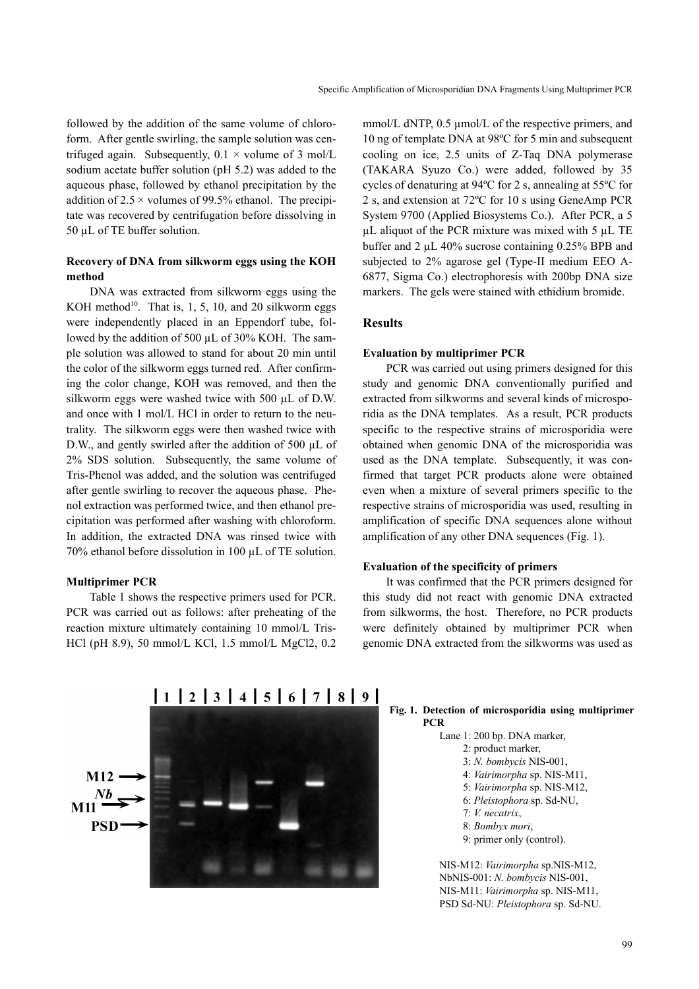followed by the addition of the same volume of chloroform. After gentle swirling, the sample solution was centrifuged again. Subsequently,  $0.1 \times$  volume of 3 mol/L sodium acetate buffer solution (pH 5.2) was added to the aqueous phase, followed by ethanol precipitation by the addition of  $2.5 \times$  volumes of 99.5% ethanol. The precipitate was recovered by centrifugation before dissolving in 50 µL of TE buffer solution.

# **Recovery of DNA from silkworm eggs using the KOH method**

DNA was extracted from silkworm eggs using the KOH method<sup>10</sup>. That is, 1, 5, 10, and 20 silkworm eggs were independently placed in an Eppendorf tube, followed by the addition of 500 µL of 30% KOH. The sample solution was allowed to stand for about 20 min until the color of the silkworm eggs turned red. After confirming the color change, KOH was removed, and then the silkworm eggs were washed twice with 500 µL of D.W. and once with 1 mol/L HCl in order to return to the neutrality. The silkworm eggs were then washed twice with D.W., and gently swirled after the addition of 500 µL of 2% SDS solution. Subsequently, the same volume of Tris-Phenol was added, and the solution was centrifuged after gentle swirling to recover the aqueous phase. Phenol extraction was performed twice, and then ethanol precipitation was performed after washing with chloroform. In addition, the extracted DNA was rinsed twice with 70% ethanol before dissolution in 100 µL of TE solution.

#### **Multiprimer PCR**

Table 1 shows the respective primers used for PCR. PCR was carried out as follows: after preheating of the reaction mixture ultimately containing 10 mmol/L Tris-HCl (pH 8.9), 50 mmol/L KCl, 1.5 mmol/L MgCl2, 0.2 mmol/L dNTP, 0.5  $\mu$ mol/L of the respective primers, and 10 ng of template DNA at 98ºC for 5 min and subsequent cooling on ice, 2.5 units of Z-Taq DNA polymerase (TAKARA Syuzo Co.) were added, followed by 35 cycles of denaturing at 94ºC for 2 s, annealing at 55ºC for 2 s, and extension at 72ºC for 10 s using GeneAmp PCR System 9700 (Applied Biosystems Co.). After PCR, a 5 µL aliquot of the PCR mixture was mixed with 5 µL TE buffer and 2 µL 40% sucrose containing 0.25% BPB and subjected to 2% agarose gel (Type-II medium EEO A-6877, Sigma Co.) electrophoresis with 200bp DNA size markers. The gels were stained with ethidium bromide.

# **Results**

#### **Evaluation by multiprimer PCR**

PCR was carried out using primers designed for this study and genomic DNA conventionally purified and extracted from silkworms and several kinds of microsporidia as the DNA templates. As a result, PCR products specific to the respective strains of microsporidia were obtained when genomic DNA of the microsporidia was used as the DNA template. Subsequently, it was confirmed that target PCR products alone were obtained even when a mixture of several primers specific to the respective strains of microsporidia was used, resulting in amplification of specific DNA sequences alone without amplification of any other DNA sequences (Fig. 1).

#### **Evaluation of the specificity of primers**

It was confirmed that the PCR primers designed for this study did not react with genomic DNA extracted from silkworms, the host. Therefore, no PCR products were definitely obtained by multiprimer PCR when genomic DNA extracted from the silkworms was used as



#### **Fig. 1. Detection of microsporidia using multiprimer PCR**

Lane 1: 200 bp. DNA marker,

- 2: product marker,
- 3: *N. bombycis* NIS-001,
- 4: *Vairimorpha* sp. NIS-M11,
- 5: *Vairimorpha* sp. NIS-M12,
- 6: *Pleistophora* sp. Sd-NU,
- 7: *V. necatrix*,
- 8: *Bombyx mori*,
- 9: primer only (control).

NIS-M12: *Vairimorpha* sp.NIS-M12, NbNIS-001: *N. bombycis* NIS-001, NIS-M11: *Vairimorpha* sp. NIS-M11, PSD Sd-NU: *Pleistophora* sp. Sd-NU.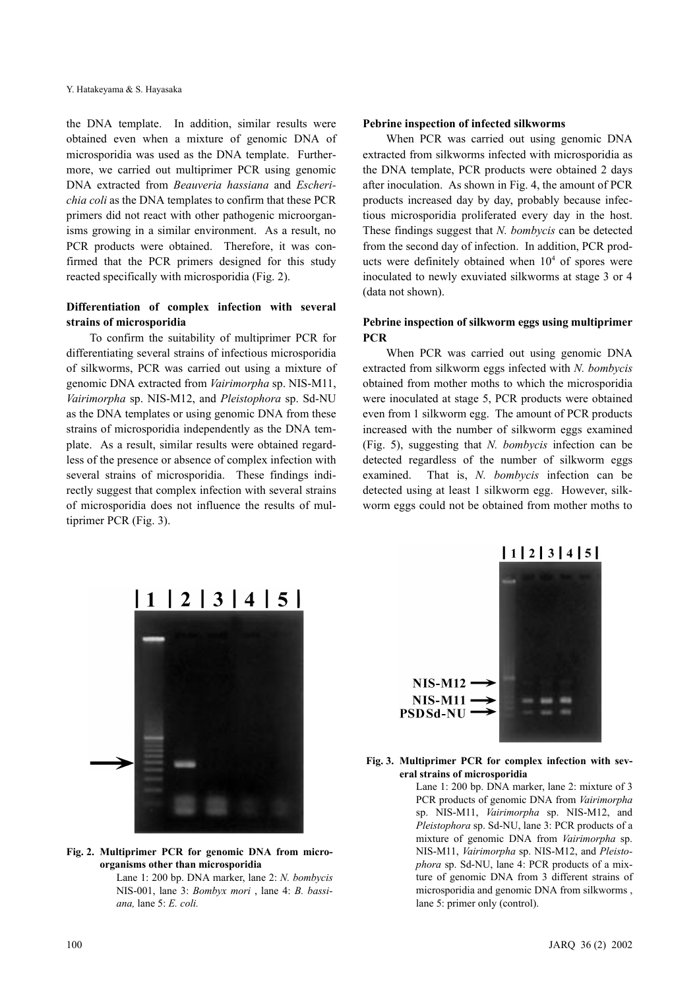the DNA template. In addition, similar results were obtained even when a mixture of genomic DNA of microsporidia was used as the DNA template. Furthermore, we carried out multiprimer PCR using genomic DNA extracted from *Beauveria hassiana* and *Escherichia coli* as the DNA templates to confirm that these PCR primers did not react with other pathogenic microorganisms growing in a similar environment. As a result, no PCR products were obtained. Therefore, it was confirmed that the PCR primers designed for this study reacted specifically with microsporidia (Fig. 2).

# **Differentiation of complex infection with several strains of microsporidia**

To confirm the suitability of multiprimer PCR for differentiating several strains of infectious microsporidia of silkworms, PCR was carried out using a mixture of genomic DNA extracted from *Vairimorpha* sp. NIS-M11, *Vairimorpha* sp. NIS-M12, and *Pleistophora* sp. Sd-NU as the DNA templates or using genomic DNA from these strains of microsporidia independently as the DNA template. As a result, similar results were obtained regardless of the presence or absence of complex infection with several strains of microsporidia. These findings indirectly suggest that complex infection with several strains of microsporidia does not influence the results of multiprimer PCR (Fig. 3).

#### **Pebrine inspection of infected silkworms**

When PCR was carried out using genomic DNA extracted from silkworms infected with microsporidia as the DNA template, PCR products were obtained 2 days after inoculation. As shown in Fig. 4, the amount of PCR products increased day by day, probably because infectious microsporidia proliferated every day in the host. These findings suggest that *N. bombycis* can be detected from the second day of infection. In addition, PCR products were definitely obtained when  $10<sup>4</sup>$  of spores were inoculated to newly exuviated silkworms at stage 3 or 4 (data not shown).

# **Pebrine inspection of silkworm eggs using multiprimer PCR**

When PCR was carried out using genomic DNA extracted from silkworm eggs infected with *N. bombycis* obtained from mother moths to which the microsporidia were inoculated at stage 5, PCR products were obtained even from 1 silkworm egg. The amount of PCR products increased with the number of silkworm eggs examined (Fig. 5), suggesting that *N. bombycis* infection can be detected regardless of the number of silkworm eggs examined. That is, *N. bombycis* infection can be detected using at least 1 silkworm egg. However, silkworm eggs could not be obtained from mother moths to





Lane 1: 200 bp. DNA marker, lane 2: *N. bombycis* NIS-001, lane 3: *Bombyx mori* , lane 4: *B. bassiana,* lane 5: *E. coli.*



#### **Fig. 3. Multiprimer PCR for complex infection with several strains of microsporidia**

Lane 1: 200 bp. DNA marker, lane 2: mixture of 3 PCR products of genomic DNA from *Vairimorpha* sp. NIS-M11, *Vairimorpha* sp. NIS-M12, and *Pleistophora* sp. Sd-NU, lane 3: PCR products of a mixture of genomic DNA from *Vairimorpha* sp. NIS-M11, *Vairimorpha* sp. NIS-M12, and *Pleistophora* sp. Sd-NU, lane 4: PCR products of a mixture of genomic DNA from 3 different strains of microsporidia and genomic DNA from silkworms , lane 5: primer only (control).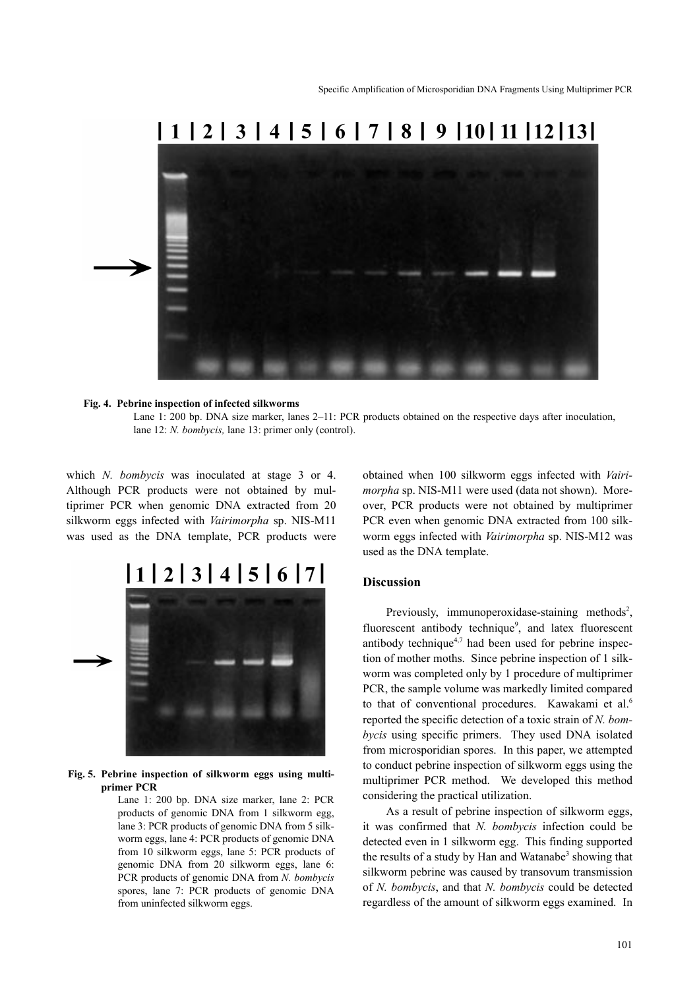

#### **Fig. 4. Pebrine inspection of infected silkworms**

Lane 1: 200 bp. DNA size marker, lanes 2–11: PCR products obtained on the respective days after inoculation, lane 12: *N. bombycis,* lane 13: primer only (control).

which *N. bombycis* was inoculated at stage 3 or 4. Although PCR products were not obtained by multiprimer PCR when genomic DNA extracted from 20 silkworm eggs infected with *Vairimorpha* sp. NIS-M11 was used as the DNA template, PCR products were



#### **Fig. 5. Pebrine inspection of silkworm eggs using multiprimer PCR**

Lane 1: 200 bp. DNA size marker, lane 2: PCR products of genomic DNA from 1 silkworm egg, lane 3: PCR products of genomic DNA from 5 silkworm eggs, lane 4: PCR products of genomic DNA from 10 silkworm eggs, lane 5: PCR products of genomic DNA from 20 silkworm eggs, lane 6: PCR products of genomic DNA from *N. bombycis* spores, lane 7: PCR products of genomic DNA from uninfected silkworm eggs.

obtained when 100 silkworm eggs infected with *Vairimorpha* sp. NIS-M11 were used (data not shown). Moreover, PCR products were not obtained by multiprimer PCR even when genomic DNA extracted from 100 silkworm eggs infected with *Vairimorpha* sp. NIS-M12 was used as the DNA template.

### **Discussion**

Previously, immunoperoxidase-staining methods<sup>2</sup>, fluorescent antibody technique<sup>9</sup>, and latex fluorescent antibody technique<sup>4,7</sup> had been used for pebrine inspection of mother moths. Since pebrine inspection of 1 silkworm was completed only by 1 procedure of multiprimer PCR, the sample volume was markedly limited compared to that of conventional procedures. Kawakami et al.<sup>6</sup> reported the specific detection of a toxic strain of *N. bombycis* using specific primers. They used DNA isolated from microsporidian spores. In this paper, we attempted to conduct pebrine inspection of silkworm eggs using the multiprimer PCR method. We developed this method considering the practical utilization.

As a result of pebrine inspection of silkworm eggs, it was confirmed that *N. bombycis* infection could be detected even in 1 silkworm egg. This finding supported the results of a study by Han and Watanabe<sup>3</sup> showing that silkworm pebrine was caused by transovum transmission of *N. bombycis*, and that *N. bombycis* could be detected regardless of the amount of silkworm eggs examined. In